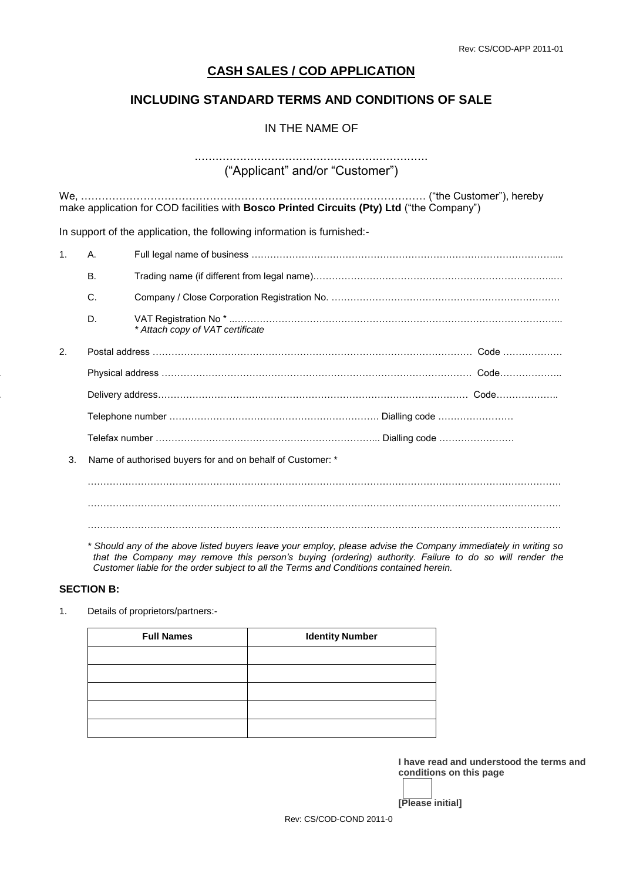# **CASH SALES / COD APPLICATION**

# **INCLUDING STANDARD TERMS AND CONDITIONS OF SALE**

# IN THE NAME OF

# ...................................................................

("Applicant" and/or "Customer")

We, ……………………………………………………………………………………… ("the Customer"), hereby make application for COD facilities with **Bosco Printed Circuits (Pty) Ltd** ("the Company")

In support of the application, the following information is furnished:-

| 1. | Α.        |                                                            |  |
|----|-----------|------------------------------------------------------------|--|
|    | <b>B.</b> |                                                            |  |
|    | C.        |                                                            |  |
|    | D.        | * Attach copy of VAT certificate                           |  |
| 2. |           |                                                            |  |
|    |           |                                                            |  |
|    |           |                                                            |  |
|    |           |                                                            |  |
|    |           |                                                            |  |
| 3. |           | Name of authorised buyers for and on behalf of Customer: * |  |
|    |           |                                                            |  |
|    |           |                                                            |  |
|    |           |                                                            |  |

*\* Should any of the above listed buyers leave your employ, please advise the Company immediately in writing so that the Company may remove this person's buying (ordering) authority. Failure to do so will render the Customer liable for the order subject to all the Terms and Conditions contained herein.*

#### **SECTION B:**

1. Details of proprietors/partners:-

| <b>Full Names</b> | <b>Identity Number</b> |
|-------------------|------------------------|
|                   |                        |
|                   |                        |
|                   |                        |
|                   |                        |
|                   |                        |

**I have read and understood the terms and conditions on this page**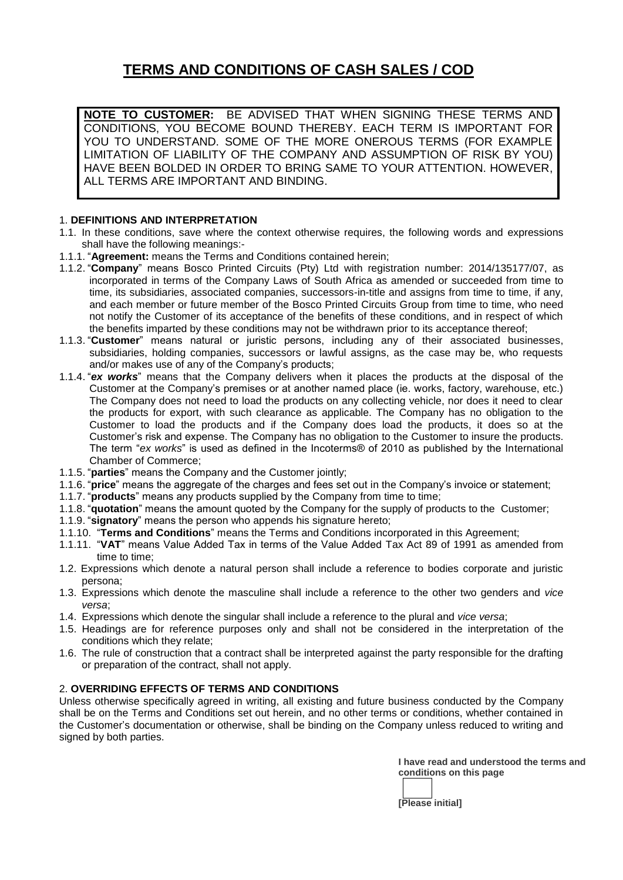# **TERMS AND CONDITIONS OF CASH SALES / COD**

**NOTE TO CUSTOMER:** BE ADVISED THAT WHEN SIGNING THESE TERMS AND CONDITIONS, YOU BECOME BOUND THEREBY. EACH TERM IS IMPORTANT FOR YOU TO UNDERSTAND. SOME OF THE MORE ONEROUS TERMS (FOR EXAMPLE LIMITATION OF LIABILITY OF THE COMPANY AND ASSUMPTION OF RISK BY YOU) HAVE BEEN BOLDED IN ORDER TO BRING SAME TO YOUR ATTENTION. HOWEVER, ALL TERMS ARE IMPORTANT AND BINDING.

# 1. **DEFINITIONS AND INTERPRETATION**

- 1.1. In these conditions, save where the context otherwise requires, the following words and expressions shall have the following meanings:-
- 1.1.1. "**Agreement:** means the Terms and Conditions contained herein;
- 1.1.2. "**Company**" means Bosco Printed Circuits (Pty) Ltd with registration number: 2014/135177/07, as incorporated in terms of the Company Laws of South Africa as amended or succeeded from time to time, its subsidiaries, associated companies, successors-in-title and assigns from time to time, if any, and each member or future member of the Bosco Printed Circuits Group from time to time, who need not notify the Customer of its acceptance of the benefits of these conditions, and in respect of which the benefits imparted by these conditions may not be withdrawn prior to its acceptance thereof;
- 1.1.3. "**Customer**" means natural or juristic persons, including any of their associated businesses, subsidiaries, holding companies, successors or lawful assigns, as the case may be, who requests and/or makes use of any of the Company's products;
- 1.1.4. "*ex works*" means that the Company delivers when it places the products at the disposal of the Customer at the Company's premises or at another named place (ie. works, factory, warehouse, etc.) The Company does not need to load the products on any collecting vehicle, nor does it need to clear the products for export, with such clearance as applicable. The Company has no obligation to the Customer to load the products and if the Company does load the products, it does so at the Customer's risk and expense. The Company has no obligation to the Customer to insure the products. The term "*ex works*" is used as defined in the Incoterms® of 2010 as published by the International Chamber of Commerce;
- 1.1.5. "**parties**" means the Company and the Customer jointly;
- 1.1.6. "**price**" means the aggregate of the charges and fees set out in the Company's invoice or statement;
- 1.1.7. "**products**" means any products supplied by the Company from time to time;
- 1.1.8. "**quotation**" means the amount quoted by the Company for the supply of products to the Customer;
- 1.1.9. "**signatory**" means the person who appends his signature hereto;
- 1.1.10. "**Terms and Conditions**" means the Terms and Conditions incorporated in this Agreement;
- 1.1.11. "**VAT**" means Value Added Tax in terms of the Value Added Tax Act 89 of 1991 as amended from time to time;
- 1.2. Expressions which denote a natural person shall include a reference to bodies corporate and juristic persona;
- 1.3. Expressions which denote the masculine shall include a reference to the other two genders and *vice versa*;
- 1.4. Expressions which denote the singular shall include a reference to the plural and *vice versa*;
- 1.5. Headings are for reference purposes only and shall not be considered in the interpretation of the conditions which they relate;
- 1.6. The rule of construction that a contract shall be interpreted against the party responsible for the drafting or preparation of the contract, shall not apply.

# 2. **OVERRIDING EFFECTS OF TERMS AND CONDITIONS**

Unless otherwise specifically agreed in writing, all existing and future business conducted by the Company shall be on the Terms and Conditions set out herein, and no other terms or conditions, whether contained in the Customer's documentation or otherwise, shall be binding on the Company unless reduced to writing and signed by both parties.

> **I have read and understood the terms and conditions on this page**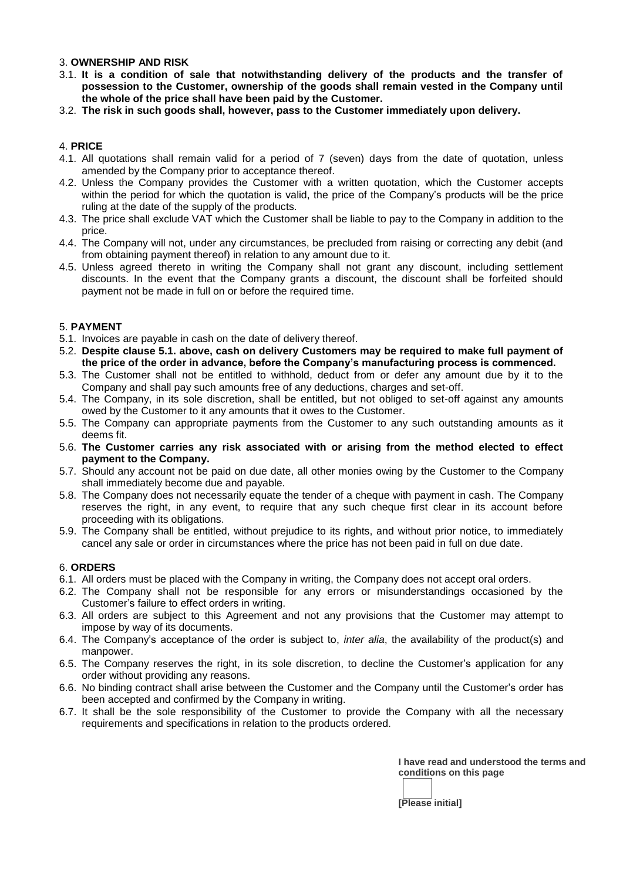# 3. **OWNERSHIP AND RISK**

- 3.1. **It is a condition of sale that notwithstanding delivery of the products and the transfer of possession to the Customer, ownership of the goods shall remain vested in the Company until the whole of the price shall have been paid by the Customer.**
- 3.2. **The risk in such goods shall, however, pass to the Customer immediately upon delivery.**

# 4. **PRICE**

- 4.1. All quotations shall remain valid for a period of 7 (seven) days from the date of quotation, unless amended by the Company prior to acceptance thereof.
- 4.2. Unless the Company provides the Customer with a written quotation, which the Customer accepts within the period for which the quotation is valid, the price of the Company's products will be the price ruling at the date of the supply of the products.
- 4.3. The price shall exclude VAT which the Customer shall be liable to pay to the Company in addition to the price.
- 4.4. The Company will not, under any circumstances, be precluded from raising or correcting any debit (and from obtaining payment thereof) in relation to any amount due to it.
- 4.5. Unless agreed thereto in writing the Company shall not grant any discount, including settlement discounts. In the event that the Company grants a discount, the discount shall be forfeited should payment not be made in full on or before the required time.

# 5. **PAYMENT**

- 5.1. Invoices are payable in cash on the date of delivery thereof.
- 5.2. **Despite clause 5.1. above, cash on delivery Customers may be required to make full payment of the price of the order in advance, before the Company's manufacturing process is commenced.**
- 5.3. The Customer shall not be entitled to withhold, deduct from or defer any amount due by it to the Company and shall pay such amounts free of any deductions, charges and set-off.
- 5.4. The Company, in its sole discretion, shall be entitled, but not obliged to set-off against any amounts owed by the Customer to it any amounts that it owes to the Customer.
- 5.5. The Company can appropriate payments from the Customer to any such outstanding amounts as it deems fit.
- 5.6. **The Customer carries any risk associated with or arising from the method elected to effect payment to the Company.**
- 5.7. Should any account not be paid on due date, all other monies owing by the Customer to the Company shall immediately become due and payable.
- 5.8. The Company does not necessarily equate the tender of a cheque with payment in cash. The Company reserves the right, in any event, to require that any such cheque first clear in its account before proceeding with its obligations.
- 5.9. The Company shall be entitled, without prejudice to its rights, and without prior notice, to immediately cancel any sale or order in circumstances where the price has not been paid in full on due date.

# 6. **ORDERS**

- 6.1. All orders must be placed with the Company in writing, the Company does not accept oral orders.
- 6.2. The Company shall not be responsible for any errors or misunderstandings occasioned by the Customer's failure to effect orders in writing.
- 6.3. All orders are subject to this Agreement and not any provisions that the Customer may attempt to impose by way of its documents.
- 6.4. The Company's acceptance of the order is subject to, *inter alia*, the availability of the product(s) and manpower.
- 6.5. The Company reserves the right, in its sole discretion, to decline the Customer's application for any order without providing any reasons.
- 6.6. No binding contract shall arise between the Customer and the Company until the Customer's order has been accepted and confirmed by the Company in writing.
- 6.7. It shall be the sole responsibility of the Customer to provide the Company with all the necessary requirements and specifications in relation to the products ordered.

**I have read and understood the terms and conditions on this page**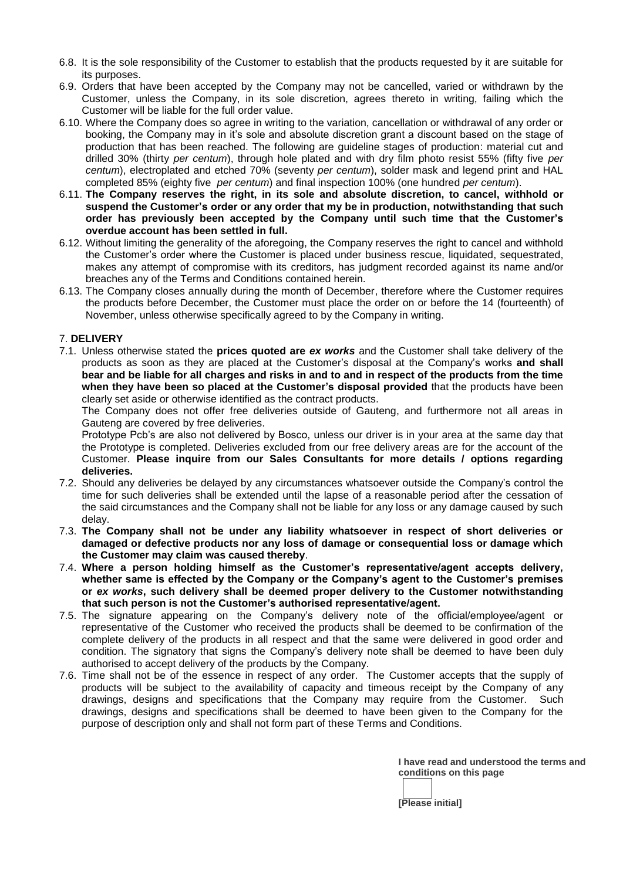- 6.8. It is the sole responsibility of the Customer to establish that the products requested by it are suitable for its purposes.
- 6.9. Orders that have been accepted by the Company may not be cancelled, varied or withdrawn by the Customer, unless the Company, in its sole discretion, agrees thereto in writing, failing which the Customer will be liable for the full order value.
- 6.10. Where the Company does so agree in writing to the variation, cancellation or withdrawal of any order or booking, the Company may in it's sole and absolute discretion grant a discount based on the stage of production that has been reached. The following are guideline stages of production: material cut and drilled 30% (thirty *per centum*), through hole plated and with dry film photo resist 55% (fifty five *per centum*), electroplated and etched 70% (seventy *per centum*), solder mask and legend print and HAL completed 85% (eighty five *per centum*) and final inspection 100% (one hundred *per centum*).
- 6.11. **The Company reserves the right, in its sole and absolute discretion, to cancel, withhold or suspend the Customer's order or any order that my be in production, notwithstanding that such order has previously been accepted by the Company until such time that the Customer's overdue account has been settled in full.**
- 6.12. Without limiting the generality of the aforegoing, the Company reserves the right to cancel and withhold the Customer's order where the Customer is placed under business rescue, liquidated, sequestrated, makes any attempt of compromise with its creditors, has judgment recorded against its name and/or breaches any of the Terms and Conditions contained herein.
- 6.13. The Company closes annually during the month of December, therefore where the Customer requires the products before December, the Customer must place the order on or before the 14 (fourteenth) of November, unless otherwise specifically agreed to by the Company in writing.

# 7. **DELIVERY**

7.1. Unless otherwise stated the **prices quoted are** *ex works* and the Customer shall take delivery of the products as soon as they are placed at the Customer's disposal at the Company's works **and shall bear and be liable for all charges and risks in and to and in respect of the products from the time when they have been so placed at the Customer's disposal provided** that the products have been clearly set aside or otherwise identified as the contract products.

The Company does not offer free deliveries outside of Gauteng, and furthermore not all areas in Gauteng are covered by free deliveries.

Prototype Pcb's are also not delivered by Bosco, unless our driver is in your area at the same day that the Prototype is completed. Deliveries excluded from our free delivery areas are for the account of the Customer. **Please inquire from our Sales Consultants for more details / options regarding deliveries.**

- 7.2. Should any deliveries be delayed by any circumstances whatsoever outside the Company's control the time for such deliveries shall be extended until the lapse of a reasonable period after the cessation of the said circumstances and the Company shall not be liable for any loss or any damage caused by such delay.
- 7.3. **The Company shall not be under any liability whatsoever in respect of short deliveries or damaged or defective products nor any loss of damage or consequential loss or damage which the Customer may claim was caused thereby**.
- 7.4. **Where a person holding himself as the Customer's representative/agent accepts delivery, whether same is effected by the Company or the Company's agent to the Customer's premises or** *ex works***, such delivery shall be deemed proper delivery to the Customer notwithstanding that such person is not the Customer's authorised representative/agent.**
- 7.5. The signature appearing on the Company's delivery note of the official/employee/agent or representative of the Customer who received the products shall be deemed to be confirmation of the complete delivery of the products in all respect and that the same were delivered in good order and condition. The signatory that signs the Company's delivery note shall be deemed to have been duly authorised to accept delivery of the products by the Company.
- 7.6. Time shall not be of the essence in respect of any order. The Customer accepts that the supply of products will be subject to the availability of capacity and timeous receipt by the Company of any drawings, designs and specifications that the Company may require from the Customer. Such drawings, designs and specifications shall be deemed to have been given to the Company for the purpose of description only and shall not form part of these Terms and Conditions.

**I have read and understood the terms and conditions on this page**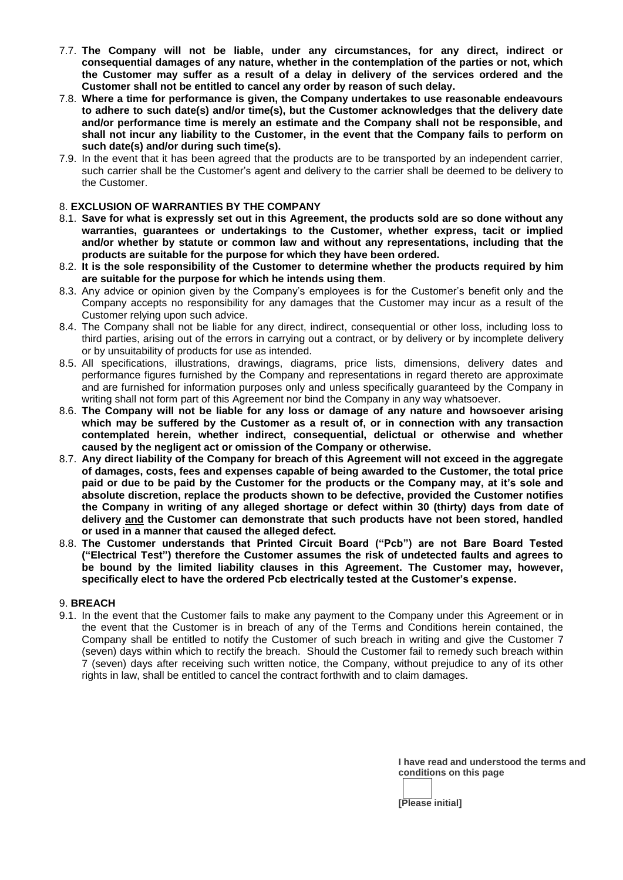- 7.7. **The Company will not be liable, under any circumstances, for any direct, indirect or consequential damages of any nature, whether in the contemplation of the parties or not, which the Customer may suffer as a result of a delay in delivery of the services ordered and the Customer shall not be entitled to cancel any order by reason of such delay.**
- 7.8. **Where a time for performance is given, the Company undertakes to use reasonable endeavours to adhere to such date(s) and/or time(s), but the Customer acknowledges that the delivery date and/or performance time is merely an estimate and the Company shall not be responsible, and shall not incur any liability to the Customer, in the event that the Company fails to perform on such date(s) and/or during such time(s).**
- 7.9. In the event that it has been agreed that the products are to be transported by an independent carrier, such carrier shall be the Customer's agent and delivery to the carrier shall be deemed to be delivery to the Customer.

#### 8. **EXCLUSION OF WARRANTIES BY THE COMPANY**

- 8.1. **Save for what is expressly set out in this Agreement, the products sold are so done without any warranties, guarantees or undertakings to the Customer, whether express, tacit or implied and/or whether by statute or common law and without any representations, including that the products are suitable for the purpose for which they have been ordered.**
- 8.2. **It is the sole responsibility of the Customer to determine whether the products required by him are suitable for the purpose for which he intends using them**.
- 8.3. Any advice or opinion given by the Company's employees is for the Customer's benefit only and the Company accepts no responsibility for any damages that the Customer may incur as a result of the Customer relying upon such advice.
- 8.4. The Company shall not be liable for any direct, indirect, consequential or other loss, including loss to third parties, arising out of the errors in carrying out a contract, or by delivery or by incomplete delivery or by unsuitability of products for use as intended.
- 8.5. All specifications, illustrations, drawings, diagrams, price lists, dimensions, delivery dates and performance figures furnished by the Company and representations in regard thereto are approximate and are furnished for information purposes only and unless specifically guaranteed by the Company in writing shall not form part of this Agreement nor bind the Company in any way whatsoever.
- 8.6. **The Company will not be liable for any loss or damage of any nature and howsoever arising which may be suffered by the Customer as a result of, or in connection with any transaction contemplated herein, whether indirect, consequential, delictual or otherwise and whether caused by the negligent act or omission of the Company or otherwise.**
- 8.7. **Any direct liability of the Company for breach of this Agreement will not exceed in the aggregate of damages, costs, fees and expenses capable of being awarded to the Customer, the total price paid or due to be paid by the Customer for the products or the Company may, at it's sole and absolute discretion, replace the products shown to be defective, provided the Customer notifies the Company in writing of any alleged shortage or defect within 30 (thirty) days from date of delivery and the Customer can demonstrate that such products have not been stored, handled or used in a manner that caused the alleged defect.**
- 8.8. **The Customer understands that Printed Circuit Board ("Pcb") are not Bare Board Tested ("Electrical Test") therefore the Customer assumes the risk of undetected faults and agrees to be bound by the limited liability clauses in this Agreement. The Customer may, however, specifically elect to have the ordered Pcb electrically tested at the Customer's expense.**

#### 9. **BREACH**

9.1. In the event that the Customer fails to make any payment to the Company under this Agreement or in the event that the Customer is in breach of any of the Terms and Conditions herein contained, the Company shall be entitled to notify the Customer of such breach in writing and give the Customer 7 (seven) days within which to rectify the breach. Should the Customer fail to remedy such breach within 7 (seven) days after receiving such written notice, the Company, without prejudice to any of its other rights in law, shall be entitled to cancel the contract forthwith and to claim damages.

> **I have read and understood the terms and conditions on this page**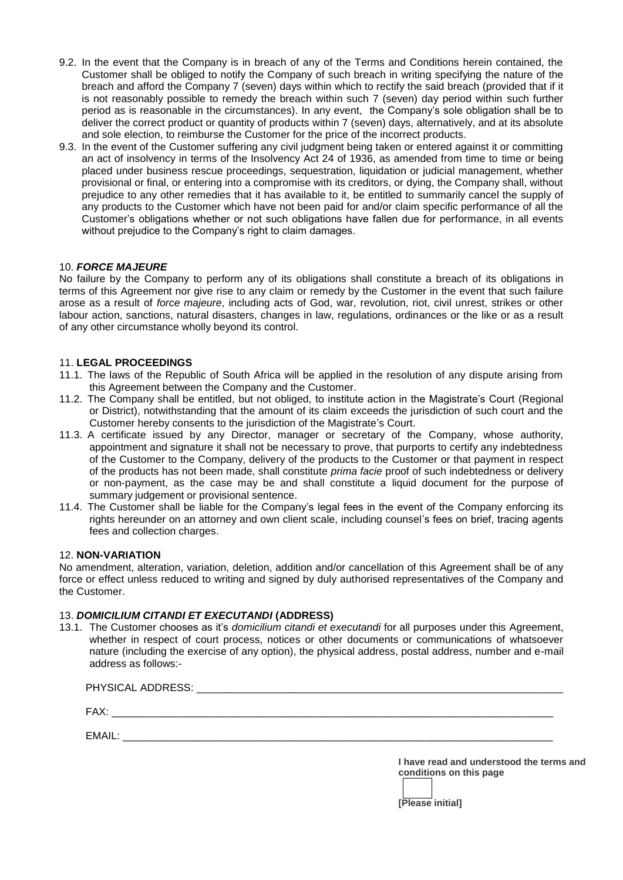- 9.2. In the event that the Company is in breach of any of the Terms and Conditions herein contained, the Customer shall be obliged to notify the Company of such breach in writing specifying the nature of the breach and afford the Company 7 (seven) days within which to rectify the said breach (provided that if it is not reasonably possible to remedy the breach within such 7 (seven) day period within such further period as is reasonable in the circumstances). In any event, the Company's sole obligation shall be to deliver the correct product or quantity of products within 7 (seven) days, alternatively, and at its absolute and sole election, to reimburse the Customer for the price of the incorrect products.
- 9.3. In the event of the Customer suffering any civil judgment being taken or entered against it or committing an act of insolvency in terms of the Insolvency Act 24 of 1936, as amended from time to time or being placed under business rescue proceedings, sequestration, liquidation or judicial management, whether provisional or final, or entering into a compromise with its creditors, or dying, the Company shall, without prejudice to any other remedies that it has available to it, be entitled to summarily cancel the supply of any products to the Customer which have not been paid for and/or claim specific performance of all the Customer's obligations whether or not such obligations have fallen due for performance, in all events without prejudice to the Company's right to claim damages.

# 10. *FORCE MAJEURE*

No failure by the Company to perform any of its obligations shall constitute a breach of its obligations in terms of this Agreement nor give rise to any claim or remedy by the Customer in the event that such failure arose as a result of *force majeure*, including acts of God, war, revolution, riot, civil unrest, strikes or other labour action, sanctions, natural disasters, changes in law, regulations, ordinances or the like or as a result of any other circumstance wholly beyond its control.

# 11. **LEGAL PROCEEDINGS**

- 11.1. The laws of the Republic of South Africa will be applied in the resolution of any dispute arising from this Agreement between the Company and the Customer.
- 11.2. The Company shall be entitled, but not obliged, to institute action in the Magistrate's Court (Regional or District), notwithstanding that the amount of its claim exceeds the jurisdiction of such court and the Customer hereby consents to the jurisdiction of the Magistrate's Court.
- 11.3. A certificate issued by any Director, manager or secretary of the Company, whose authority, appointment and signature it shall not be necessary to prove, that purports to certify any indebtedness of the Customer to the Company, delivery of the products to the Customer or that payment in respect of the products has not been made, shall constitute *prima facie* proof of such indebtedness or delivery or non-payment, as the case may be and shall constitute a liquid document for the purpose of summary judgement or provisional sentence.
- 11.4. The Customer shall be liable for the Company's legal fees in the event of the Company enforcing its rights hereunder on an attorney and own client scale, including counsel's fees on brief, tracing agents fees and collection charges.

# 12. **NON-VARIATION**

No amendment, alteration, variation, deletion, addition and/or cancellation of this Agreement shall be of any force or effect unless reduced to writing and signed by duly authorised representatives of the Company and the Customer.

# 13. *DOMICILIUM CITANDI ET EXECUTANDI* **(ADDRESS)**

13.1. The Customer chooses as it's *domicilium citandi et executandi* for all purposes under this Agreement, whether in respect of court process, notices or other documents or communications of whatsoever nature (including the exercise of any option), the physical address, postal address, number and e-mail address as follows:-

| PHYSICAL ADDRESS: |  |
|-------------------|--|
| FAX:              |  |
| FMAII ·           |  |

**I have read and understood the terms and conditions on this page**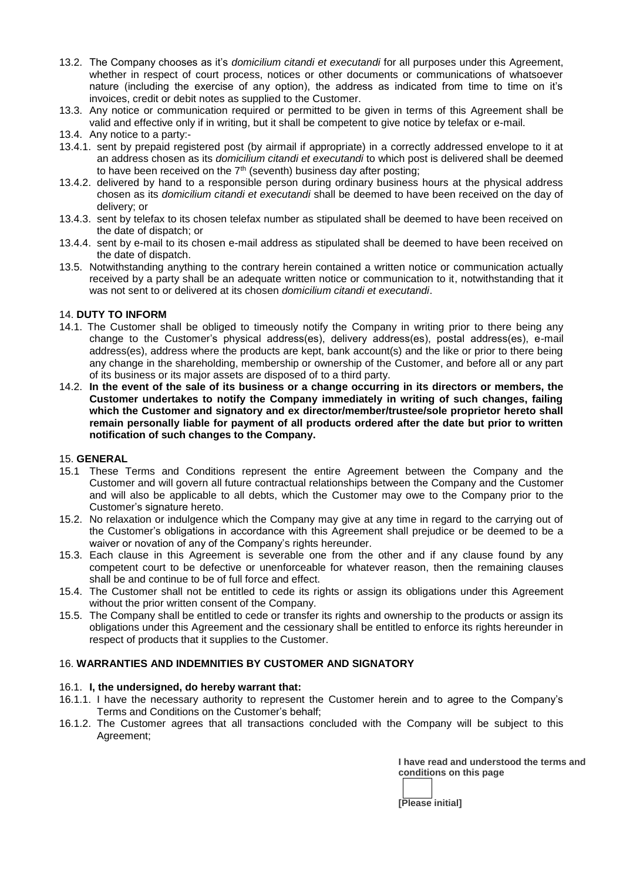- 13.2. The Company chooses as it's *domicilium citandi et executandi* for all purposes under this Agreement, whether in respect of court process, notices or other documents or communications of whatsoever nature (including the exercise of any option), the address as indicated from time to time on it's invoices, credit or debit notes as supplied to the Customer.
- 13.3. Any notice or communication required or permitted to be given in terms of this Agreement shall be valid and effective only if in writing, but it shall be competent to give notice by telefax or e-mail.
- 13.4. Any notice to a party:-
- 13.4.1. sent by prepaid registered post (by airmail if appropriate) in a correctly addressed envelope to it at an address chosen as its *domicilium citandi et executandi* to which post is delivered shall be deemed to have been received on the  $7<sup>th</sup>$  (seventh) business day after posting;
- 13.4.2. delivered by hand to a responsible person during ordinary business hours at the physical address chosen as its *domicilium citandi et executandi* shall be deemed to have been received on the day of delivery; or
- 13.4.3. sent by telefax to its chosen telefax number as stipulated shall be deemed to have been received on the date of dispatch; or
- 13.4.4. sent by e-mail to its chosen e-mail address as stipulated shall be deemed to have been received on the date of dispatch.
- 13.5. Notwithstanding anything to the contrary herein contained a written notice or communication actually received by a party shall be an adequate written notice or communication to it, notwithstanding that it was not sent to or delivered at its chosen *domicilium citandi et executandi*.

# 14. **DUTY TO INFORM**

- 14.1. The Customer shall be obliged to timeously notify the Company in writing prior to there being any change to the Customer's physical address(es), delivery address(es), postal address(es), e-mail address(es), address where the products are kept, bank account(s) and the like or prior to there being any change in the shareholding, membership or ownership of the Customer, and before all or any part of its business or its major assets are disposed of to a third party.
- 14.2. **In the event of the sale of its business or a change occurring in its directors or members, the Customer undertakes to notify the Company immediately in writing of such changes, failing which the Customer and signatory and ex director/member/trustee/sole proprietor hereto shall remain personally liable for payment of all products ordered after the date but prior to written notification of such changes to the Company.**

# 15. **GENERAL**

- 15.1 These Terms and Conditions represent the entire Agreement between the Company and the Customer and will govern all future contractual relationships between the Company and the Customer and will also be applicable to all debts, which the Customer may owe to the Company prior to the Customer's signature hereto.
- 15.2. No relaxation or indulgence which the Company may give at any time in regard to the carrying out of the Customer's obligations in accordance with this Agreement shall prejudice or be deemed to be a waiver or novation of any of the Company's rights hereunder.
- 15.3. Each clause in this Agreement is severable one from the other and if any clause found by any competent court to be defective or unenforceable for whatever reason, then the remaining clauses shall be and continue to be of full force and effect.
- 15.4. The Customer shall not be entitled to cede its rights or assign its obligations under this Agreement without the prior written consent of the Company.
- 15.5. The Company shall be entitled to cede or transfer its rights and ownership to the products or assign its obligations under this Agreement and the cessionary shall be entitled to enforce its rights hereunder in respect of products that it supplies to the Customer.

# 16. **WARRANTIES AND INDEMNITIES BY CUSTOMER AND SIGNATORY**

# 16.1. **I, the undersigned, do hereby warrant that:**

- 16.1.1. I have the necessary authority to represent the Customer herein and to agree to the Company's Terms and Conditions on the Customer's behalf;
- 16.1.2. The Customer agrees that all transactions concluded with the Company will be subject to this Agreement;

**I have read and understood the terms and conditions on this page**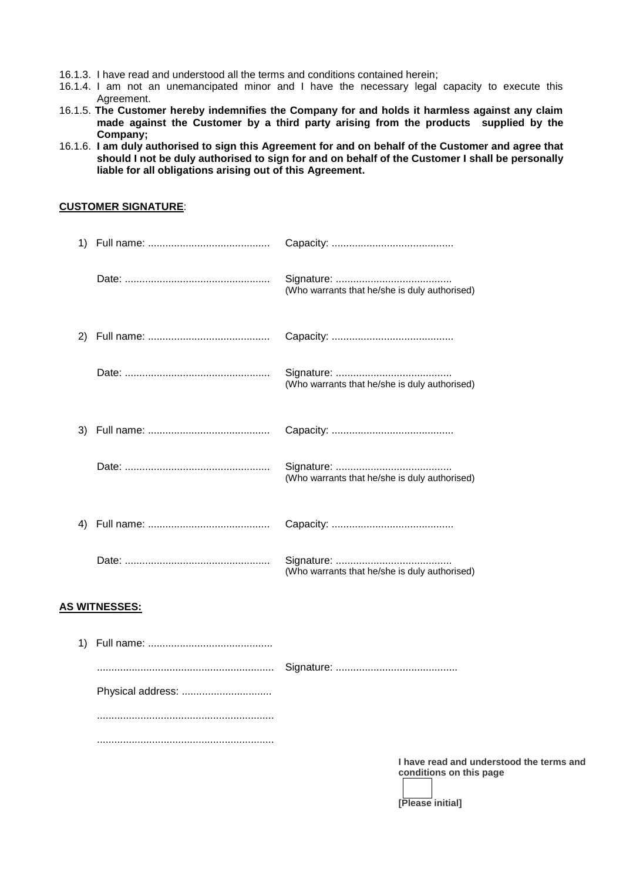- 16.1.3. I have read and understood all the terms and conditions contained herein;
- 16.1.4. I am not an unemancipated minor and I have the necessary legal capacity to execute this Agreement.
- 16.1.5. **The Customer hereby indemnifies the Company for and holds it harmless against any claim made against the Customer by a third party arising from the products supplied by the Company;**
- 16.1.6. **I am duly authorised to sign this Agreement for and on behalf of the Customer and agree that should I not be duly authorised to sign for and on behalf of the Customer I shall be personally liable for all obligations arising out of this Agreement.**

#### **CUSTOMER SIGNATURE**:

|    | (Who warrants that he/she is duly authorised) |
|----|-----------------------------------------------|
| 2) |                                               |
|    | (Who warrants that he/she is duly authorised) |
| 3) |                                               |
|    | (Who warrants that he/she is duly authorised) |
| 4) |                                               |
|    | (Who warrants that he/she is duly authorised) |

#### **AS WITNESSES:**

| Physical address: |  |
|-------------------|--|
|                   |  |
|                   |  |

**I have read and understood the terms and conditions on this page**